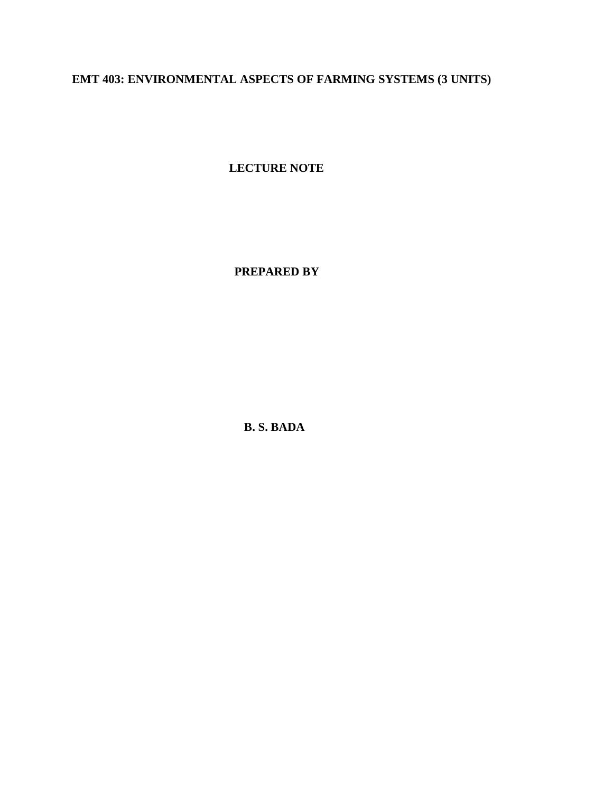# **EMT 403: ENVIRONMENTAL ASPECTS OF FARMING SYSTEMS (3 UNITS)**

**LECTURE NOTE**

 **PREPARED BY**

**B. S. BADA**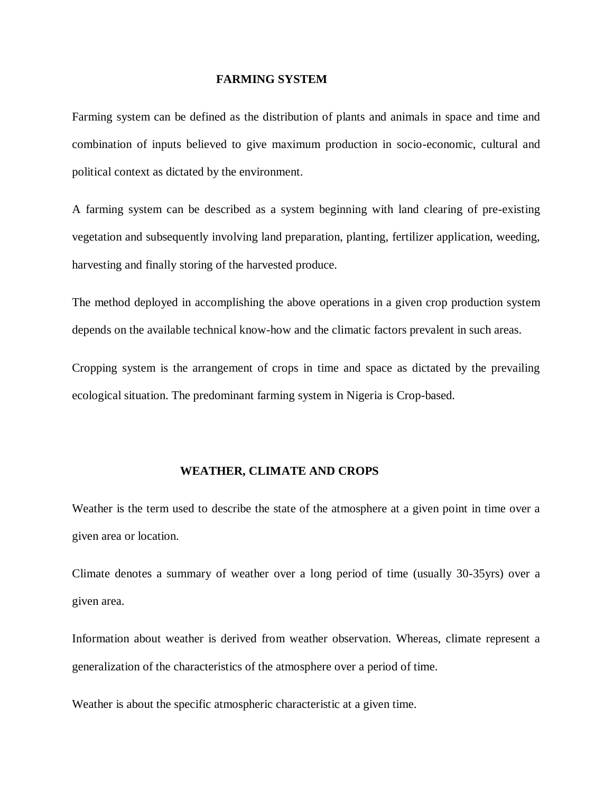#### **FARMING SYSTEM**

Farming system can be defined as the distribution of plants and animals in space and time and combination of inputs believed to give maximum production in socio-economic, cultural and political context as dictated by the environment.

A farming system can be described as a system beginning with land clearing of pre-existing vegetation and subsequently involving land preparation, planting, fertilizer application, weeding, harvesting and finally storing of the harvested produce.

The method deployed in accomplishing the above operations in a given crop production system depends on the available technical know-how and the climatic factors prevalent in such areas.

Cropping system is the arrangement of crops in time and space as dictated by the prevailing ecological situation. The predominant farming system in Nigeria is Crop-based.

### **WEATHER, CLIMATE AND CROPS**

Weather is the term used to describe the state of the atmosphere at a given point in time over a given area or location.

Climate denotes a summary of weather over a long period of time (usually 30-35yrs) over a given area.

Information about weather is derived from weather observation. Whereas, climate represent a generalization of the characteristics of the atmosphere over a period of time.

Weather is about the specific atmospheric characteristic at a given time.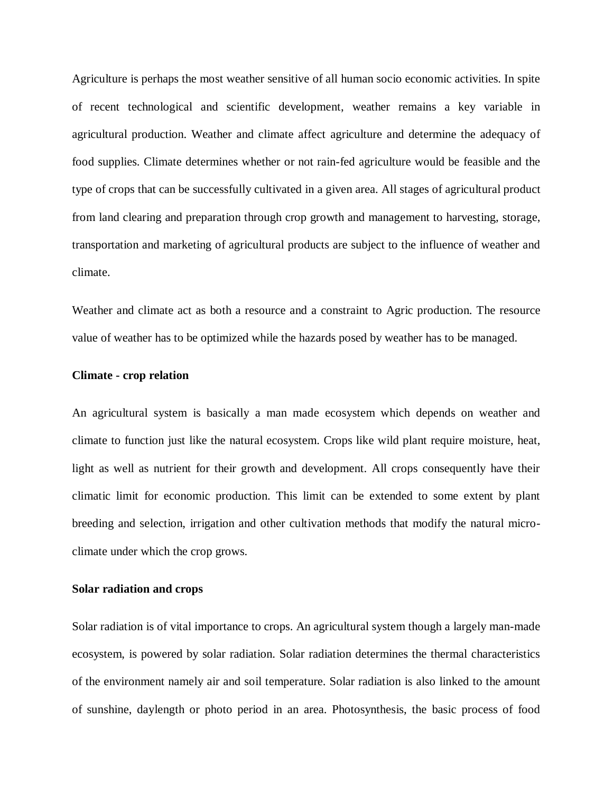Agriculture is perhaps the most weather sensitive of all human socio economic activities. In spite of recent technological and scientific development, weather remains a key variable in agricultural production. Weather and climate affect agriculture and determine the adequacy of food supplies. Climate determines whether or not rain-fed agriculture would be feasible and the type of crops that can be successfully cultivated in a given area. All stages of agricultural product from land clearing and preparation through crop growth and management to harvesting, storage, transportation and marketing of agricultural products are subject to the influence of weather and climate.

Weather and climate act as both a resource and a constraint to Agric production. The resource value of weather has to be optimized while the hazards posed by weather has to be managed.

#### **Climate - crop relation**

An agricultural system is basically a man made ecosystem which depends on weather and climate to function just like the natural ecosystem. Crops like wild plant require moisture, heat, light as well as nutrient for their growth and development. All crops consequently have their climatic limit for economic production. This limit can be extended to some extent by plant breeding and selection, irrigation and other cultivation methods that modify the natural microclimate under which the crop grows.

### **Solar radiation and crops**

Solar radiation is of vital importance to crops. An agricultural system though a largely man-made ecosystem, is powered by solar radiation. Solar radiation determines the thermal characteristics of the environment namely air and soil temperature. Solar radiation is also linked to the amount of sunshine, daylength or photo period in an area. Photosynthesis, the basic process of food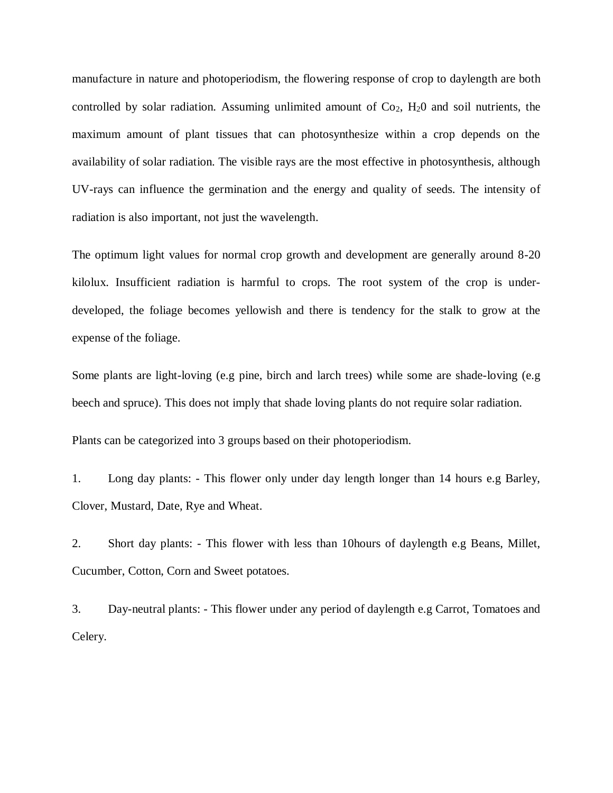manufacture in nature and photoperiodism, the flowering response of crop to daylength are both controlled by solar radiation. Assuming unlimited amount of  $Co<sub>2</sub>$ ,  $H<sub>2</sub>O$  and soil nutrients, the maximum amount of plant tissues that can photosynthesize within a crop depends on the availability of solar radiation. The visible rays are the most effective in photosynthesis, although UV-rays can influence the germination and the energy and quality of seeds. The intensity of radiation is also important, not just the wavelength.

The optimum light values for normal crop growth and development are generally around 8-20 kilolux. Insufficient radiation is harmful to crops. The root system of the crop is underdeveloped, the foliage becomes yellowish and there is tendency for the stalk to grow at the expense of the foliage.

Some plants are light-loving (e.g pine, birch and larch trees) while some are shade-loving (e.g beech and spruce). This does not imply that shade loving plants do not require solar radiation.

Plants can be categorized into 3 groups based on their photoperiodism.

1. Long day plants: - This flower only under day length longer than 14 hours e.g Barley, Clover, Mustard, Date, Rye and Wheat.

2. Short day plants: - This flower with less than 10hours of daylength e.g Beans, Millet, Cucumber, Cotton, Corn and Sweet potatoes.

3. Day-neutral plants: - This flower under any period of daylength e.g Carrot, Tomatoes and Celery.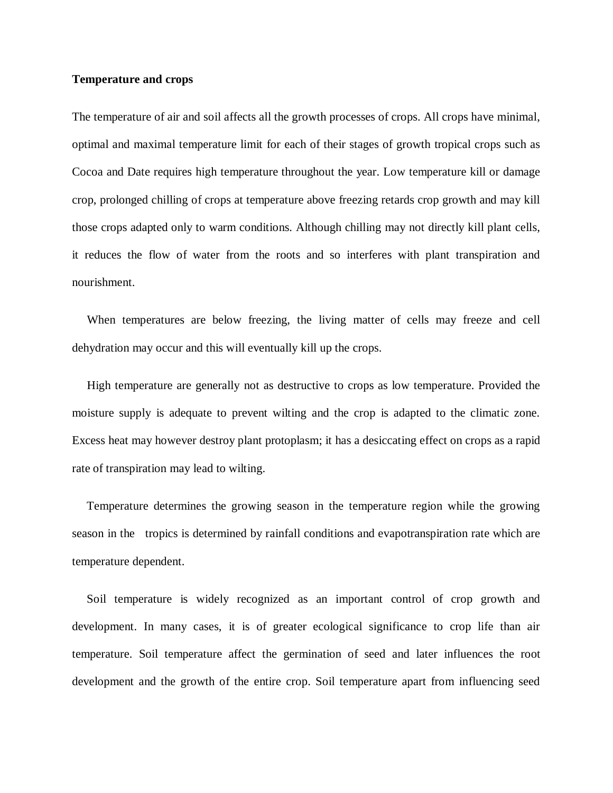### **Temperature and crops**

The temperature of air and soil affects all the growth processes of crops. All crops have minimal, optimal and maximal temperature limit for each of their stages of growth tropical crops such as Cocoa and Date requires high temperature throughout the year. Low temperature kill or damage crop, prolonged chilling of crops at temperature above freezing retards crop growth and may kill those crops adapted only to warm conditions. Although chilling may not directly kill plant cells, it reduces the flow of water from the roots and so interferes with plant transpiration and nourishment.

 When temperatures are below freezing, the living matter of cells may freeze and cell dehydration may occur and this will eventually kill up the crops.

 High temperature are generally not as destructive to crops as low temperature. Provided the moisture supply is adequate to prevent wilting and the crop is adapted to the climatic zone. Excess heat may however destroy plant protoplasm; it has a desiccating effect on crops as a rapid rate of transpiration may lead to wilting.

 Temperature determines the growing season in the temperature region while the growing season in the tropics is determined by rainfall conditions and evapotranspiration rate which are temperature dependent.

 Soil temperature is widely recognized as an important control of crop growth and development. In many cases, it is of greater ecological significance to crop life than air temperature. Soil temperature affect the germination of seed and later influences the root development and the growth of the entire crop. Soil temperature apart from influencing seed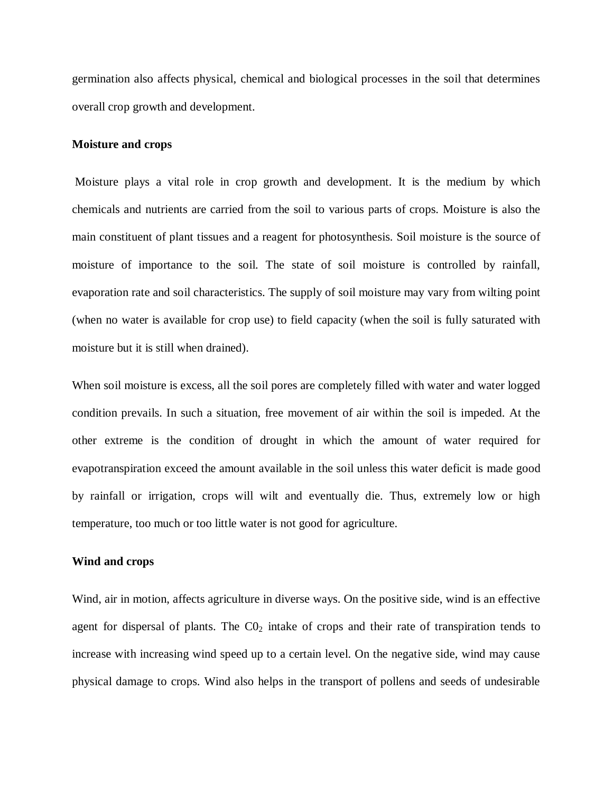germination also affects physical, chemical and biological processes in the soil that determines overall crop growth and development.

#### **Moisture and crops**

Moisture plays a vital role in crop growth and development. It is the medium by which chemicals and nutrients are carried from the soil to various parts of crops. Moisture is also the main constituent of plant tissues and a reagent for photosynthesis. Soil moisture is the source of moisture of importance to the soil. The state of soil moisture is controlled by rainfall, evaporation rate and soil characteristics. The supply of soil moisture may vary from wilting point (when no water is available for crop use) to field capacity (when the soil is fully saturated with moisture but it is still when drained).

When soil moisture is excess, all the soil pores are completely filled with water and water logged condition prevails. In such a situation, free movement of air within the soil is impeded. At the other extreme is the condition of drought in which the amount of water required for evapotranspiration exceed the amount available in the soil unless this water deficit is made good by rainfall or irrigation, crops will wilt and eventually die. Thus, extremely low or high temperature, too much or too little water is not good for agriculture.

### **Wind and crops**

Wind, air in motion, affects agriculture in diverse ways. On the positive side, wind is an effective agent for dispersal of plants. The  $CO<sub>2</sub>$  intake of crops and their rate of transpiration tends to increase with increasing wind speed up to a certain level. On the negative side, wind may cause physical damage to crops. Wind also helps in the transport of pollens and seeds of undesirable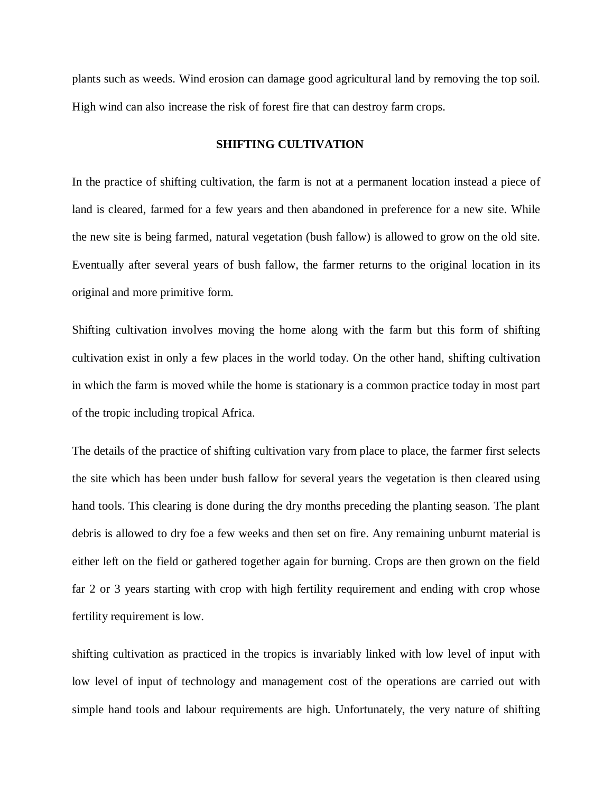plants such as weeds. Wind erosion can damage good agricultural land by removing the top soil. High wind can also increase the risk of forest fire that can destroy farm crops.

## **SHIFTING CULTIVATION**

In the practice of shifting cultivation, the farm is not at a permanent location instead a piece of land is cleared, farmed for a few years and then abandoned in preference for a new site. While the new site is being farmed, natural vegetation (bush fallow) is allowed to grow on the old site. Eventually after several years of bush fallow, the farmer returns to the original location in its original and more primitive form.

Shifting cultivation involves moving the home along with the farm but this form of shifting cultivation exist in only a few places in the world today. On the other hand, shifting cultivation in which the farm is moved while the home is stationary is a common practice today in most part of the tropic including tropical Africa.

The details of the practice of shifting cultivation vary from place to place, the farmer first selects the site which has been under bush fallow for several years the vegetation is then cleared using hand tools. This clearing is done during the dry months preceding the planting season. The plant debris is allowed to dry foe a few weeks and then set on fire. Any remaining unburnt material is either left on the field or gathered together again for burning. Crops are then grown on the field far 2 or 3 years starting with crop with high fertility requirement and ending with crop whose fertility requirement is low.

shifting cultivation as practiced in the tropics is invariably linked with low level of input with low level of input of technology and management cost of the operations are carried out with simple hand tools and labour requirements are high. Unfortunately, the very nature of shifting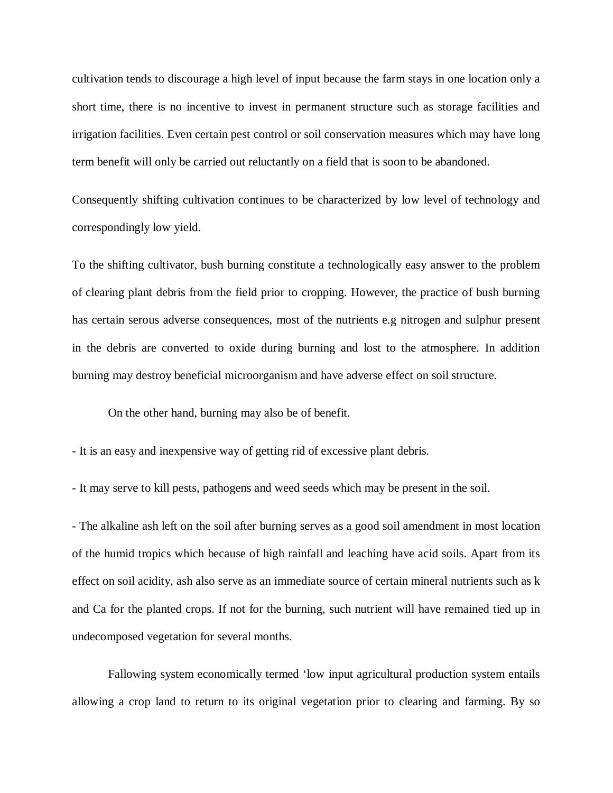cultivation tends to discourage a high level of input because the farm stays in one location only a short time, there is no incentive to invest in permanent structure such as storage facilities and irrigation facilities. Even certain pest control or soil conservation measures which may have long term benefit will only be carried out reluctantly on a field that is soon to be abandoned.

Consequently shifting cultivation continues to be characterized by low level of technology and correspondingly low yield.

To the shifting cultivator, bush burning constitute a technologically easy answer to the problem of clearing plant debris from the field prior to cropping. However, the practice of bush burning has certain serous adverse consequences, most of the nutrients e.g nitrogen and sulphur present in the debris are converted to oxide during burning and lost to the atmosphere. In addition burning may destroy beneficial microorganism and have adverse effect on soil structure.

On the other hand, burning may also be of benefit.

- It is an easy and inexpensive way of getting rid of excessive plant debris.

- It may serve to kill pests, pathogens and weed seeds which may be present in the soil.

- The alkaline ash left on the soil after burning serves as a good soil amendment in most location of the humid tropics which because of high rainfall and leaching have acid soils. Apart from its effect on soil acidity, ash also serve as an immediate source of certain mineral nutrients such as k and Ca for the planted crops. If not for the burning, such nutrient will have remained tied up in undecomposed vegetation for several months.

Fallowing system economically termed 'low input agricultural production system entails allowing a crop land to return to its original vegetation prior to clearing and farming. By so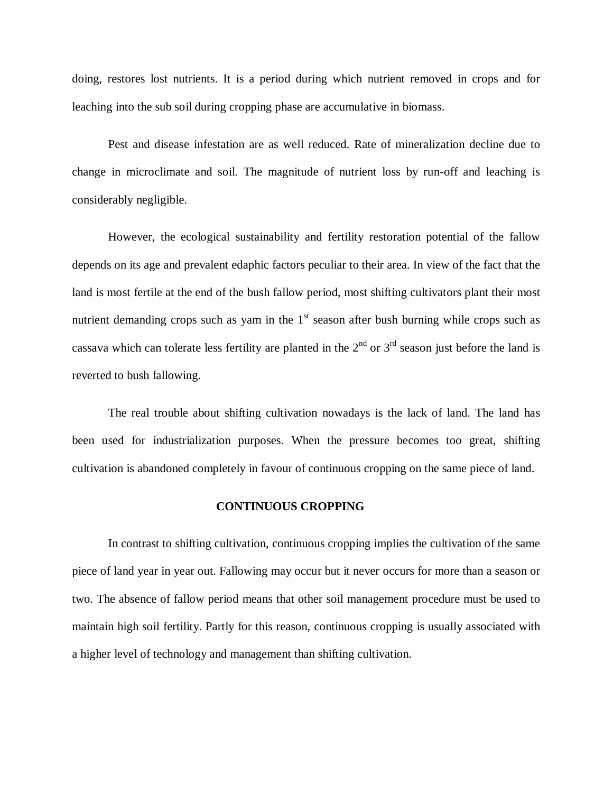doing, restores lost nutrients. It is a period during which nutrient removed in crops and for leaching into the sub soil during cropping phase are accumulative in biomass.

Pest and disease infestation are as well reduced. Rate of mineralization decline due to change in microclimate and soil. The magnitude of nutrient loss by run-off and leaching is considerably negligible.

However, the ecological sustainability and fertility restoration potential of the fallow depends on its age and prevalent edaphic factors peculiar to their area. In view of the fact that the land is most fertile at the end of the bush fallow period, most shifting cultivators plant their most nutrient demanding crops such as yam in the  $1<sup>st</sup>$  season after bush burning while crops such as cassava which can tolerate less fertility are planted in the  $2<sup>nd</sup>$  or  $3<sup>rd</sup>$  season just before the land is reverted to bush fallowing.

The real trouble about shifting cultivation nowadays is the lack of land. The land has been used for industrialization purposes. When the pressure becomes too great, shifting cultivation is abandoned completely in favour of continuous cropping on the same piece of land.

#### **CONTINUOUS CROPPING**

In contrast to shifting cultivation, continuous cropping implies the cultivation of the same piece of land year in year out. Fallowing may occur but it never occurs for more than a season or two. The absence of fallow period means that other soil management procedure must be used to maintain high soil fertility. Partly for this reason, continuous cropping is usually associated with a higher level of technology and management than shifting cultivation.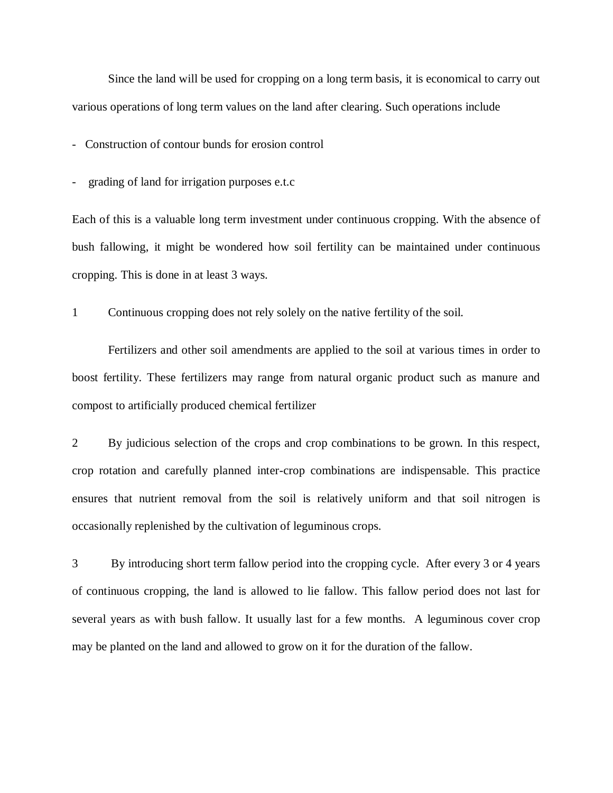Since the land will be used for cropping on a long term basis, it is economical to carry out various operations of long term values on the land after clearing. Such operations include

- Construction of contour bunds for erosion control

- grading of land for irrigation purposes e.t.c

Each of this is a valuable long term investment under continuous cropping. With the absence of bush fallowing, it might be wondered how soil fertility can be maintained under continuous cropping. This is done in at least 3 ways.

1 Continuous cropping does not rely solely on the native fertility of the soil.

Fertilizers and other soil amendments are applied to the soil at various times in order to boost fertility. These fertilizers may range from natural organic product such as manure and compost to artificially produced chemical fertilizer

2 By judicious selection of the crops and crop combinations to be grown. In this respect, crop rotation and carefully planned inter-crop combinations are indispensable. This practice ensures that nutrient removal from the soil is relatively uniform and that soil nitrogen is occasionally replenished by the cultivation of leguminous crops.

3 By introducing short term fallow period into the cropping cycle. After every 3 or 4 years of continuous cropping, the land is allowed to lie fallow. This fallow period does not last for several years as with bush fallow. It usually last for a few months. A leguminous cover crop may be planted on the land and allowed to grow on it for the duration of the fallow.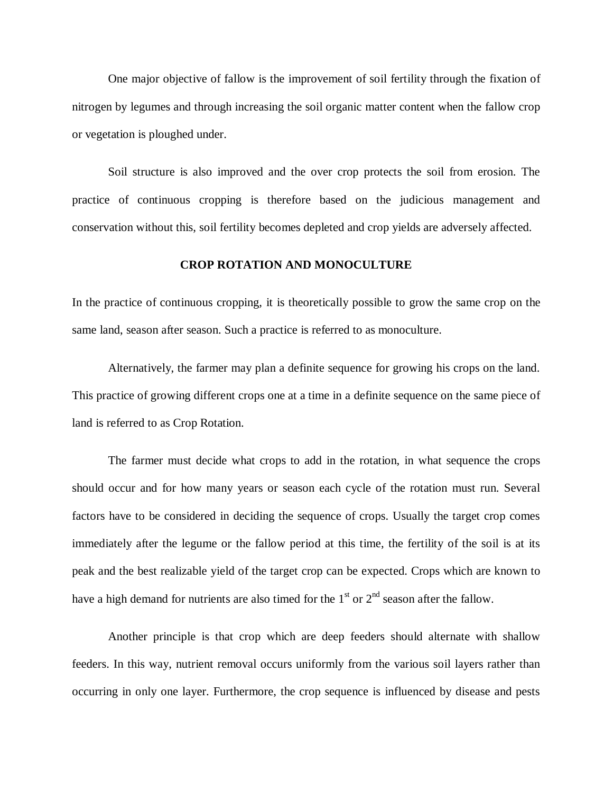One major objective of fallow is the improvement of soil fertility through the fixation of nitrogen by legumes and through increasing the soil organic matter content when the fallow crop or vegetation is ploughed under.

Soil structure is also improved and the over crop protects the soil from erosion. The practice of continuous cropping is therefore based on the judicious management and conservation without this, soil fertility becomes depleted and crop yields are adversely affected.

## **CROP ROTATION AND MONOCULTURE**

In the practice of continuous cropping, it is theoretically possible to grow the same crop on the same land, season after season. Such a practice is referred to as monoculture.

Alternatively, the farmer may plan a definite sequence for growing his crops on the land. This practice of growing different crops one at a time in a definite sequence on the same piece of land is referred to as Crop Rotation.

The farmer must decide what crops to add in the rotation, in what sequence the crops should occur and for how many years or season each cycle of the rotation must run. Several factors have to be considered in deciding the sequence of crops. Usually the target crop comes immediately after the legume or the fallow period at this time, the fertility of the soil is at its peak and the best realizable yield of the target crop can be expected. Crops which are known to have a high demand for nutrients are also timed for the  $1<sup>st</sup>$  or  $2<sup>nd</sup>$  season after the fallow.

Another principle is that crop which are deep feeders should alternate with shallow feeders. In this way, nutrient removal occurs uniformly from the various soil layers rather than occurring in only one layer. Furthermore, the crop sequence is influenced by disease and pests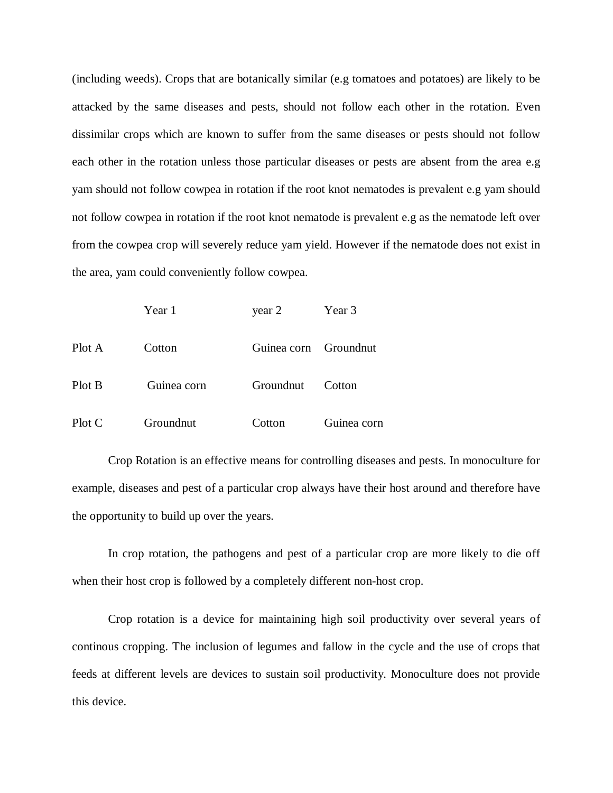(including weeds). Crops that are botanically similar (e.g tomatoes and potatoes) are likely to be attacked by the same diseases and pests, should not follow each other in the rotation. Even dissimilar crops which are known to suffer from the same diseases or pests should not follow each other in the rotation unless those particular diseases or pests are absent from the area e.g yam should not follow cowpea in rotation if the root knot nematodes is prevalent e.g yam should not follow cowpea in rotation if the root knot nematode is prevalent e.g as the nematode left over from the cowpea crop will severely reduce yam yield. However if the nematode does not exist in the area, yam could conveniently follow cowpea.

|        | Year 1      | year 2                | Year 3      |
|--------|-------------|-----------------------|-------------|
| Plot A | Cotton      | Guinea corn Groundnut |             |
| Plot B | Guinea corn | Groundnut             | Cotton      |
| Plot C | Groundnut   | Cotton                | Guinea corn |

Crop Rotation is an effective means for controlling diseases and pests. In monoculture for example, diseases and pest of a particular crop always have their host around and therefore have the opportunity to build up over the years.

In crop rotation, the pathogens and pest of a particular crop are more likely to die off when their host crop is followed by a completely different non-host crop.

Crop rotation is a device for maintaining high soil productivity over several years of continous cropping. The inclusion of legumes and fallow in the cycle and the use of crops that feeds at different levels are devices to sustain soil productivity. Monoculture does not provide this device.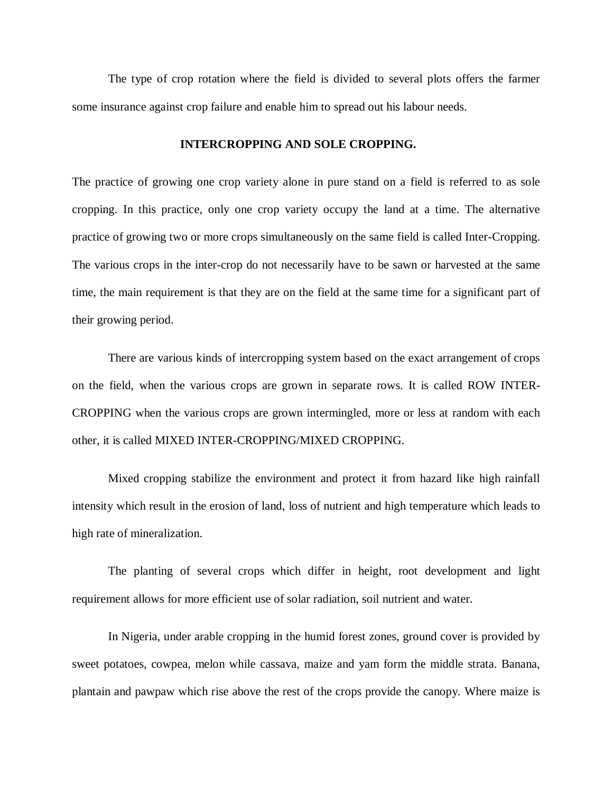The type of crop rotation where the field is divided to several plots offers the farmer some insurance against crop failure and enable him to spread out his labour needs.

## **INTERCROPPING AND SOLE CROPPING.**

The practice of growing one crop variety alone in pure stand on a field is referred to as sole cropping. In this practice, only one crop variety occupy the land at a time. The alternative practice of growing two or more crops simultaneously on the same field is called Inter-Cropping. The various crops in the inter-crop do not necessarily have to be sawn or harvested at the same time, the main requirement is that they are on the field at the same time for a significant part of their growing period.

There are various kinds of intercropping system based on the exact arrangement of crops on the field, when the various crops are grown in separate rows. It is called ROW INTER-CROPPING when the various crops are grown intermingled, more or less at random with each other, it is called MIXED INTER-CROPPING/MIXED CROPPING.

Mixed cropping stabilize the environment and protect it from hazard like high rainfall intensity which result in the erosion of land, loss of nutrient and high temperature which leads to high rate of mineralization.

The planting of several crops which differ in height, root development and light requirement allows for more efficient use of solar radiation, soil nutrient and water.

In Nigeria, under arable cropping in the humid forest zones, ground cover is provided by sweet potatoes, cowpea, melon while cassava, maize and yam form the middle strata. Banana, plantain and pawpaw which rise above the rest of the crops provide the canopy. Where maize is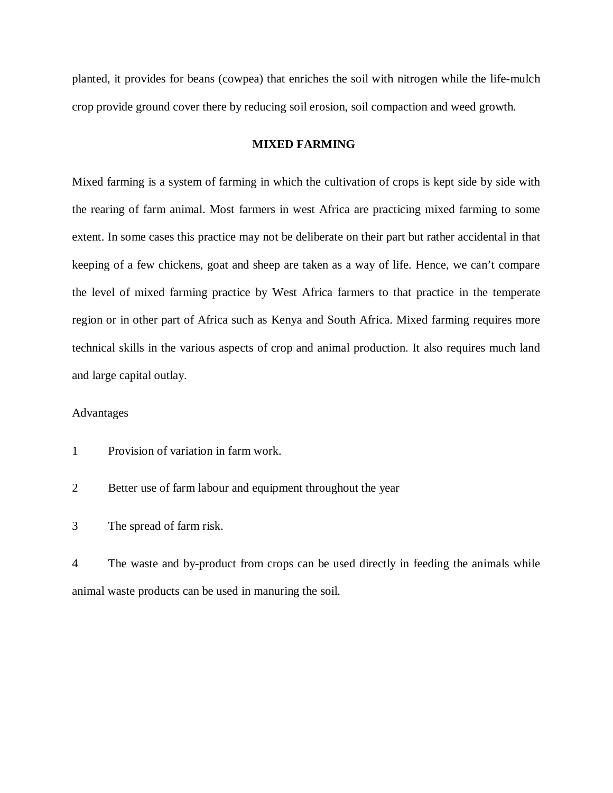planted, it provides for beans (cowpea) that enriches the soil with nitrogen while the life-mulch crop provide ground cover there by reducing soil erosion, soil compaction and weed growth.

## **MIXED FARMING**

Mixed farming is a system of farming in which the cultivation of crops is kept side by side with the rearing of farm animal. Most farmers in west Africa are practicing mixed farming to some extent. In some cases this practice may not be deliberate on their part but rather accidental in that keeping of a few chickens, goat and sheep are taken as a way of life. Hence, we can't compare the level of mixed farming practice by West Africa farmers to that practice in the temperate region or in other part of Africa such as Kenya and South Africa. Mixed farming requires more technical skills in the various aspects of crop and animal production. It also requires much land and large capital outlay.

## Advantages

- 1 Provision of variation in farm work.
- 2 Better use of farm labour and equipment throughout the year
- 3 The spread of farm risk.

4 The waste and by-product from crops can be used directly in feeding the animals while animal waste products can be used in manuring the soil.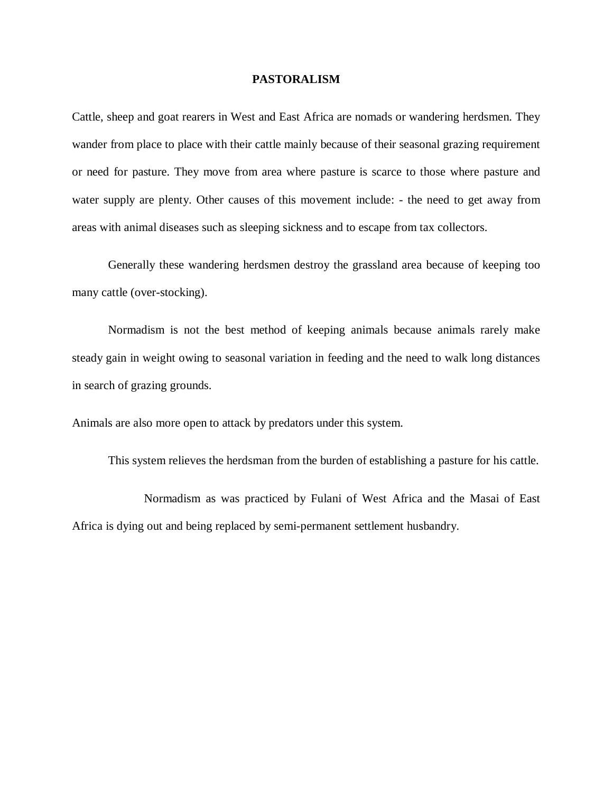#### **PASTORALISM**

Cattle, sheep and goat rearers in West and East Africa are nomads or wandering herdsmen. They wander from place to place with their cattle mainly because of their seasonal grazing requirement or need for pasture. They move from area where pasture is scarce to those where pasture and water supply are plenty. Other causes of this movement include: - the need to get away from areas with animal diseases such as sleeping sickness and to escape from tax collectors.

Generally these wandering herdsmen destroy the grassland area because of keeping too many cattle (over-stocking).

Normadism is not the best method of keeping animals because animals rarely make steady gain in weight owing to seasonal variation in feeding and the need to walk long distances in search of grazing grounds.

Animals are also more open to attack by predators under this system.

This system relieves the herdsman from the burden of establishing a pasture for his cattle.

Normadism as was practiced by Fulani of West Africa and the Masai of East Africa is dying out and being replaced by semi-permanent settlement husbandry.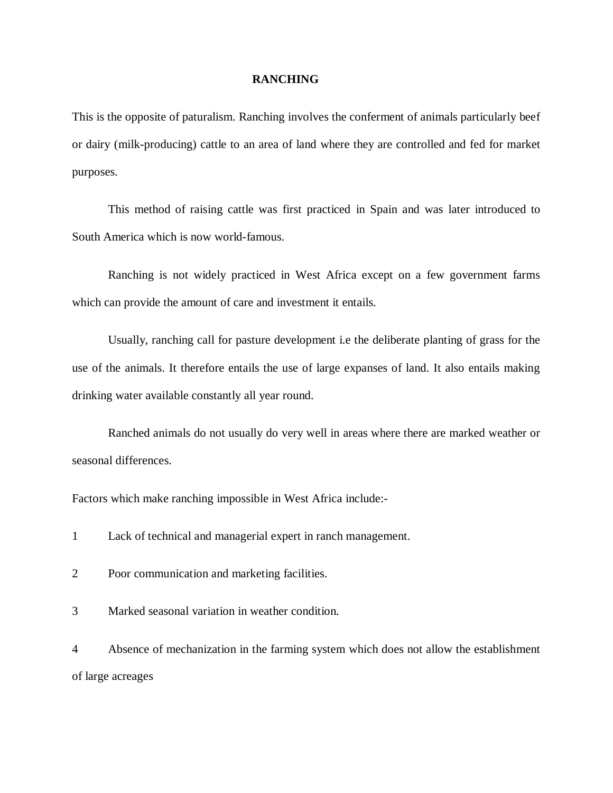#### **RANCHING**

This is the opposite of paturalism. Ranching involves the conferment of animals particularly beef or dairy (milk-producing) cattle to an area of land where they are controlled and fed for market purposes.

This method of raising cattle was first practiced in Spain and was later introduced to South America which is now world-famous.

Ranching is not widely practiced in West Africa except on a few government farms which can provide the amount of care and investment it entails.

Usually, ranching call for pasture development i.e the deliberate planting of grass for the use of the animals. It therefore entails the use of large expanses of land. It also entails making drinking water available constantly all year round.

Ranched animals do not usually do very well in areas where there are marked weather or seasonal differences.

Factors which make ranching impossible in West Africa include:-

1 Lack of technical and managerial expert in ranch management.

2 Poor communication and marketing facilities.

3 Marked seasonal variation in weather condition.

4 Absence of mechanization in the farming system which does not allow the establishment of large acreages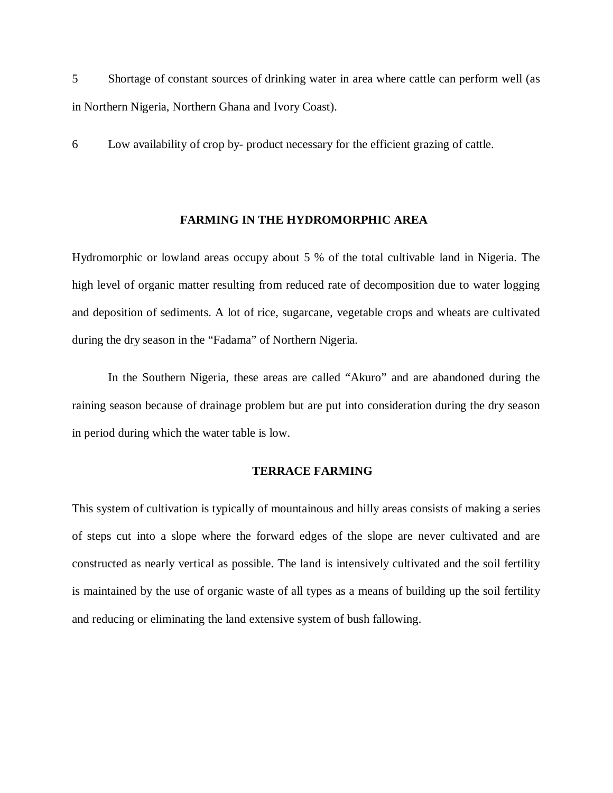5 Shortage of constant sources of drinking water in area where cattle can perform well (as in Northern Nigeria, Northern Ghana and Ivory Coast).

6 Low availability of crop by- product necessary for the efficient grazing of cattle.

#### **FARMING IN THE HYDROMORPHIC AREA**

Hydromorphic or lowland areas occupy about 5 % of the total cultivable land in Nigeria. The high level of organic matter resulting from reduced rate of decomposition due to water logging and deposition of sediments. A lot of rice, sugarcane, vegetable crops and wheats are cultivated during the dry season in the "Fadama" of Northern Nigeria.

In the Southern Nigeria, these areas are called "Akuro" and are abandoned during the raining season because of drainage problem but are put into consideration during the dry season in period during which the water table is low.

#### **TERRACE FARMING**

This system of cultivation is typically of mountainous and hilly areas consists of making a series of steps cut into a slope where the forward edges of the slope are never cultivated and are constructed as nearly vertical as possible. The land is intensively cultivated and the soil fertility is maintained by the use of organic waste of all types as a means of building up the soil fertility and reducing or eliminating the land extensive system of bush fallowing.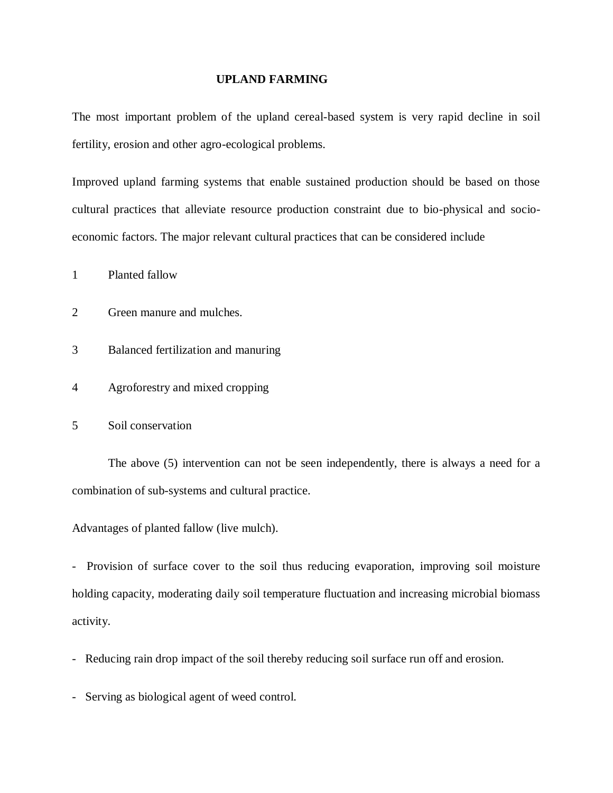#### **UPLAND FARMING**

The most important problem of the upland cereal-based system is very rapid decline in soil fertility, erosion and other agro-ecological problems.

Improved upland farming systems that enable sustained production should be based on those cultural practices that alleviate resource production constraint due to bio-physical and socioeconomic factors. The major relevant cultural practices that can be considered include

1 Planted fallow

- 2 Green manure and mulches.
- 3 Balanced fertilization and manuring
- 4 Agroforestry and mixed cropping
- 5 Soil conservation

The above (5) intervention can not be seen independently, there is always a need for a combination of sub-systems and cultural practice.

Advantages of planted fallow (live mulch).

- Provision of surface cover to the soil thus reducing evaporation, improving soil moisture holding capacity, moderating daily soil temperature fluctuation and increasing microbial biomass activity.

- Reducing rain drop impact of the soil thereby reducing soil surface run off and erosion.
- Serving as biological agent of weed control.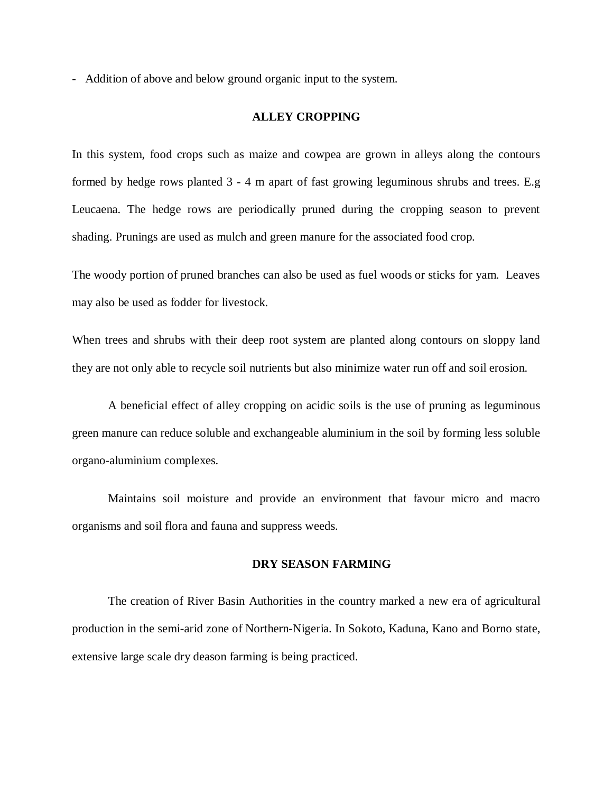- Addition of above and below ground organic input to the system.

#### **ALLEY CROPPING**

In this system, food crops such as maize and cowpea are grown in alleys along the contours formed by hedge rows planted 3 - 4 m apart of fast growing leguminous shrubs and trees. E.g Leucaena. The hedge rows are periodically pruned during the cropping season to prevent shading. Prunings are used as mulch and green manure for the associated food crop.

The woody portion of pruned branches can also be used as fuel woods or sticks for yam. Leaves may also be used as fodder for livestock.

When trees and shrubs with their deep root system are planted along contours on sloppy land they are not only able to recycle soil nutrients but also minimize water run off and soil erosion.

A beneficial effect of alley cropping on acidic soils is the use of pruning as leguminous green manure can reduce soluble and exchangeable aluminium in the soil by forming less soluble organo-aluminium complexes.

Maintains soil moisture and provide an environment that favour micro and macro organisms and soil flora and fauna and suppress weeds.

#### **DRY SEASON FARMING**

The creation of River Basin Authorities in the country marked a new era of agricultural production in the semi-arid zone of Northern-Nigeria. In Sokoto, Kaduna, Kano and Borno state, extensive large scale dry deason farming is being practiced.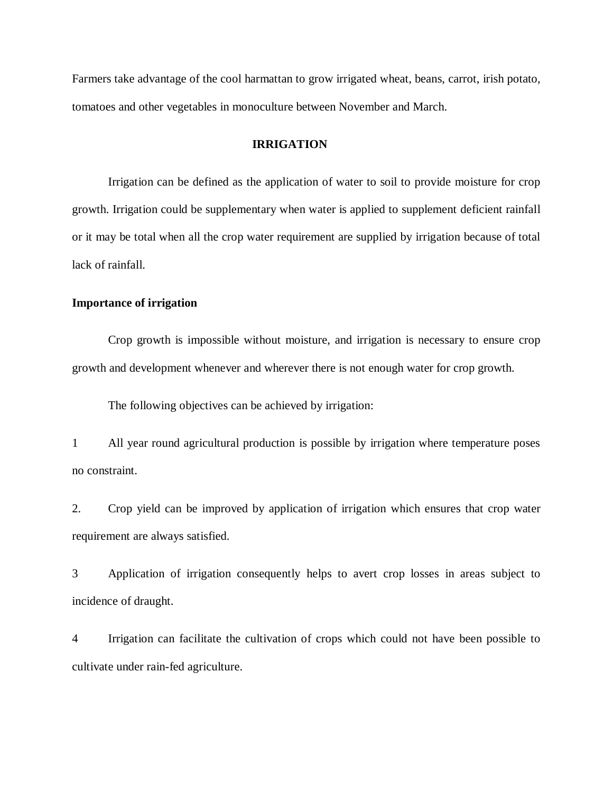Farmers take advantage of the cool harmattan to grow irrigated wheat, beans, carrot, irish potato, tomatoes and other vegetables in monoculture between November and March.

## **IRRIGATION**

Irrigation can be defined as the application of water to soil to provide moisture for crop growth. Irrigation could be supplementary when water is applied to supplement deficient rainfall or it may be total when all the crop water requirement are supplied by irrigation because of total lack of rainfall.

## **Importance of irrigation**

Crop growth is impossible without moisture, and irrigation is necessary to ensure crop growth and development whenever and wherever there is not enough water for crop growth.

The following objectives can be achieved by irrigation:

1 All year round agricultural production is possible by irrigation where temperature poses no constraint.

2. Crop yield can be improved by application of irrigation which ensures that crop water requirement are always satisfied.

3 Application of irrigation consequently helps to avert crop losses in areas subject to incidence of draught.

4 Irrigation can facilitate the cultivation of crops which could not have been possible to cultivate under rain-fed agriculture.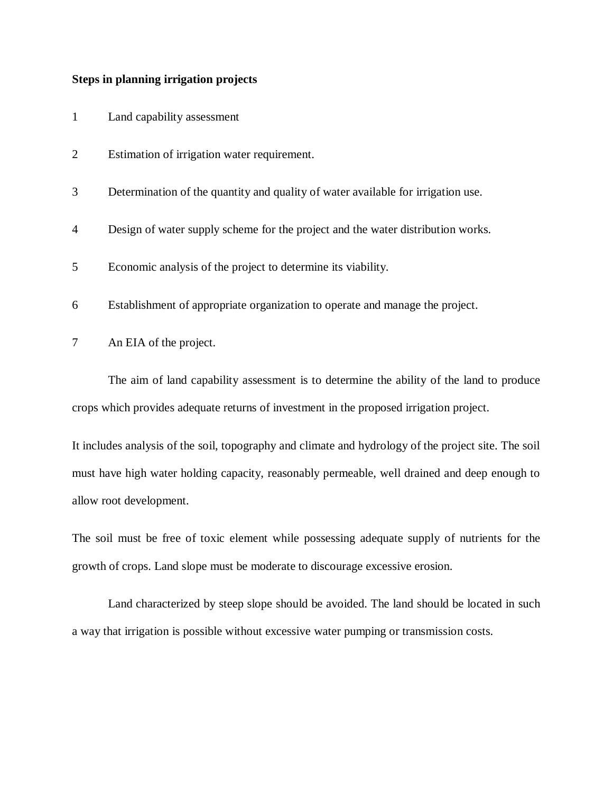### **Steps in planning irrigation projects**

- 1 Land capability assessment
- 2 Estimation of irrigation water requirement.
- 3 Determination of the quantity and quality of water available for irrigation use.
- 4 Design of water supply scheme for the project and the water distribution works.
- 5 Economic analysis of the project to determine its viability.
- 6 Establishment of appropriate organization to operate and manage the project.
- 7 An EIA of the project.

The aim of land capability assessment is to determine the ability of the land to produce crops which provides adequate returns of investment in the proposed irrigation project.

It includes analysis of the soil, topography and climate and hydrology of the project site. The soil must have high water holding capacity, reasonably permeable, well drained and deep enough to allow root development.

The soil must be free of toxic element while possessing adequate supply of nutrients for the growth of crops. Land slope must be moderate to discourage excessive erosion.

Land characterized by steep slope should be avoided. The land should be located in such a way that irrigation is possible without excessive water pumping or transmission costs.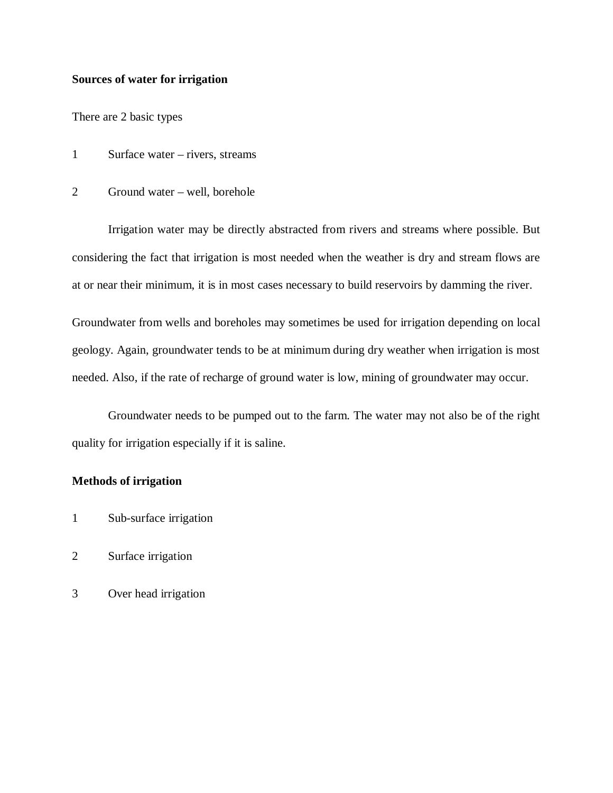## **Sources of water for irrigation**

There are 2 basic types

- 1 Surface water rivers, streams
- 2 Ground water well, borehole

Irrigation water may be directly abstracted from rivers and streams where possible. But considering the fact that irrigation is most needed when the weather is dry and stream flows are at or near their minimum, it is in most cases necessary to build reservoirs by damming the river.

Groundwater from wells and boreholes may sometimes be used for irrigation depending on local geology. Again, groundwater tends to be at minimum during dry weather when irrigation is most needed. Also, if the rate of recharge of ground water is low, mining of groundwater may occur.

Groundwater needs to be pumped out to the farm. The water may not also be of the right quality for irrigation especially if it is saline.

#### **Methods of irrigation**

- 1 Sub-surface irrigation
- 2 Surface irrigation
- 3 Over head irrigation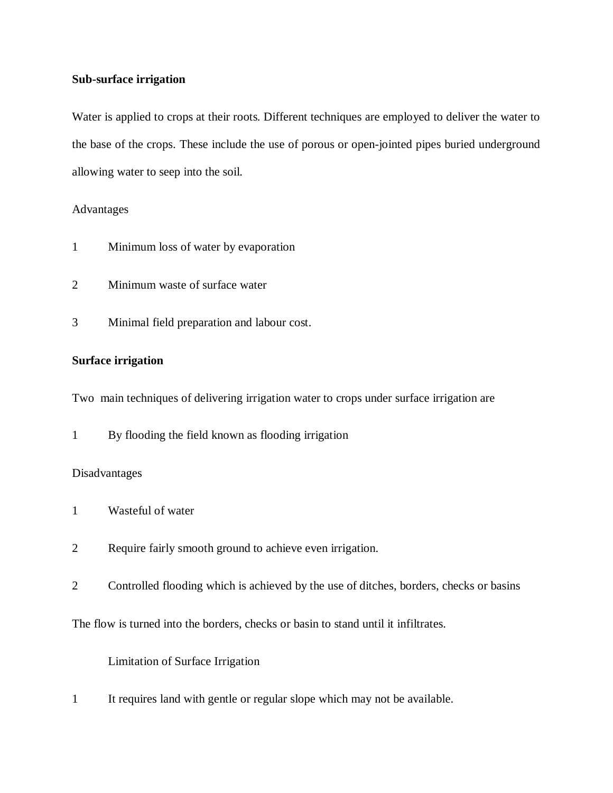## **Sub-surface irrigation**

Water is applied to crops at their roots. Different techniques are employed to deliver the water to the base of the crops. These include the use of porous or open-jointed pipes buried underground allowing water to seep into the soil.

## Advantages

- 1 Minimum loss of water by evaporation
- 2 Minimum waste of surface water
- 3 Minimal field preparation and labour cost.

## **Surface irrigation**

Two main techniques of delivering irrigation water to crops under surface irrigation are

1 By flooding the field known as flooding irrigation

## Disadvantages

- 1 Wasteful of water
- 2 Require fairly smooth ground to achieve even irrigation.
- 2 Controlled flooding which is achieved by the use of ditches, borders, checks or basins

The flow is turned into the borders, checks or basin to stand until it infiltrates.

Limitation of Surface Irrigation

1 It requires land with gentle or regular slope which may not be available.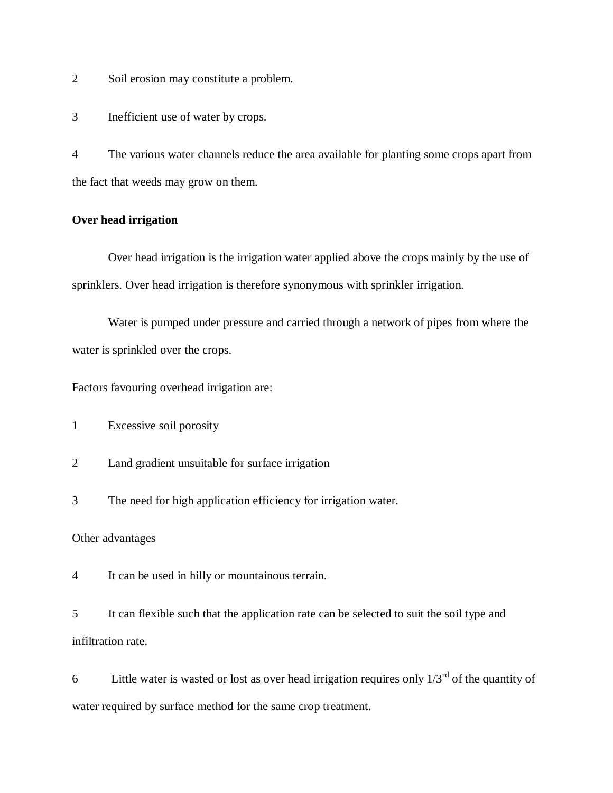2 Soil erosion may constitute a problem.

3 Inefficient use of water by crops.

4 The various water channels reduce the area available for planting some crops apart from the fact that weeds may grow on them.

## **Over head irrigation**

Over head irrigation is the irrigation water applied above the crops mainly by the use of sprinklers. Over head irrigation is therefore synonymous with sprinkler irrigation.

Water is pumped under pressure and carried through a network of pipes from where the water is sprinkled over the crops.

Factors favouring overhead irrigation are:

1 Excessive soil porosity

2 Land gradient unsuitable for surface irrigation

3 The need for high application efficiency for irrigation water.

Other advantages

4 It can be used in hilly or mountainous terrain.

5 It can flexible such that the application rate can be selected to suit the soil type and infiltration rate.

6 Little water is wasted or lost as over head irrigation requires only  $1/3^{rd}$  of the quantity of water required by surface method for the same crop treatment.